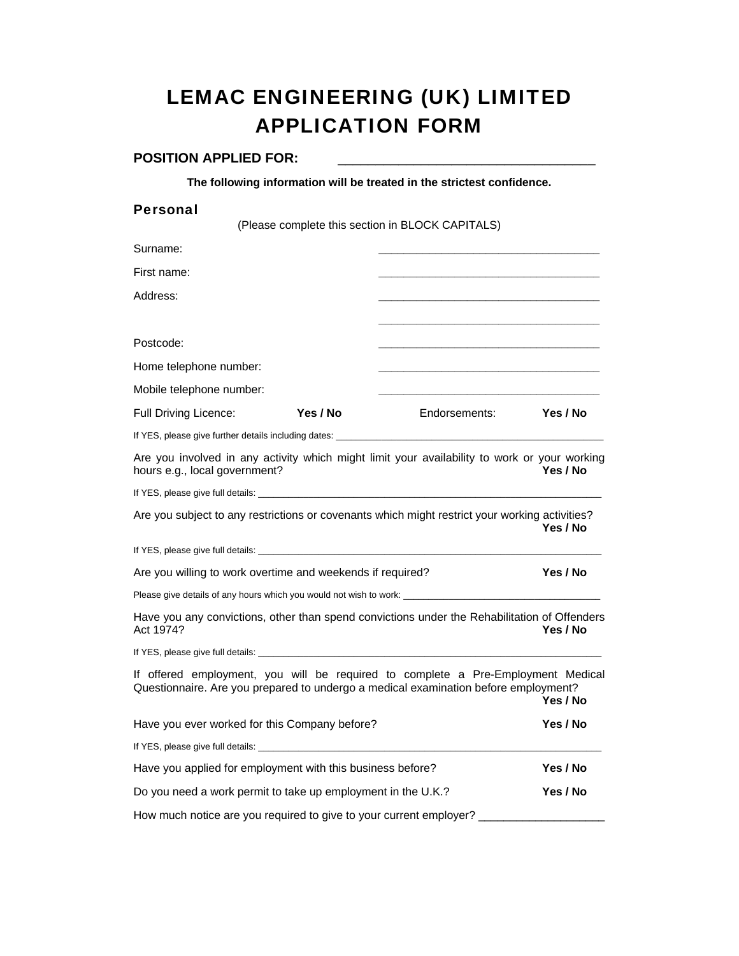# LEMAC ENGINEERING (UK) LIMITED APPLICATION FORM

#### POSITION APPLIED FOR:

**The following information will be treated in the strictest confidence.**

| <b>Personal</b>                                                                                                                                                                                                                      |          |                                                                                                                                                                         |          |
|--------------------------------------------------------------------------------------------------------------------------------------------------------------------------------------------------------------------------------------|----------|-------------------------------------------------------------------------------------------------------------------------------------------------------------------------|----------|
|                                                                                                                                                                                                                                      |          | (Please complete this section in BLOCK CAPITALS)                                                                                                                        |          |
| Surname:                                                                                                                                                                                                                             |          |                                                                                                                                                                         |          |
| First name:                                                                                                                                                                                                                          |          |                                                                                                                                                                         |          |
| Address:                                                                                                                                                                                                                             |          |                                                                                                                                                                         |          |
|                                                                                                                                                                                                                                      |          |                                                                                                                                                                         |          |
| Postcode:                                                                                                                                                                                                                            |          |                                                                                                                                                                         |          |
| Home telephone number:                                                                                                                                                                                                               |          |                                                                                                                                                                         |          |
| Mobile telephone number:                                                                                                                                                                                                             |          |                                                                                                                                                                         |          |
| Full Driving Licence:                                                                                                                                                                                                                | Yes / No | Endorsements: Yes / No                                                                                                                                                  |          |
|                                                                                                                                                                                                                                      |          |                                                                                                                                                                         |          |
| hours e.g., local government?                                                                                                                                                                                                        |          | Are you involved in any activity which might limit your availability to work or your working                                                                            | Yes / No |
| If YES, please give full details: <b>All any of the set of the set of the set of the set of the set of the set of the set of the set of the set of the set of the set of the set of the set of the set of the set of the set of </b> |          |                                                                                                                                                                         |          |
|                                                                                                                                                                                                                                      |          | Are you subject to any restrictions or covenants which might restrict your working activities?                                                                          | Yes / No |
|                                                                                                                                                                                                                                      |          |                                                                                                                                                                         |          |
| Are you willing to work overtime and weekends if required?                                                                                                                                                                           |          |                                                                                                                                                                         | Yes / No |
|                                                                                                                                                                                                                                      |          | Please give details of any hours which you would not wish to work: _________________________________                                                                    |          |
| Act 1974?                                                                                                                                                                                                                            |          | Have you any convictions, other than spend convictions under the Rehabilitation of Offenders                                                                            | Yes / No |
|                                                                                                                                                                                                                                      |          |                                                                                                                                                                         |          |
|                                                                                                                                                                                                                                      |          | If offered employment, you will be required to complete a Pre-Employment Medical<br>Questionnaire. Are you prepared to undergo a medical examination before employment? | Yes / No |
| Have you ever worked for this Company before?                                                                                                                                                                                        |          |                                                                                                                                                                         | Yes / No |
|                                                                                                                                                                                                                                      |          |                                                                                                                                                                         |          |
| Have you applied for employment with this business before?                                                                                                                                                                           |          |                                                                                                                                                                         | Yes / No |
| Do you need a work permit to take up employment in the U.K.?                                                                                                                                                                         |          |                                                                                                                                                                         | Yes / No |
| How much notice are you required to give to your current employer?                                                                                                                                                                   |          |                                                                                                                                                                         |          |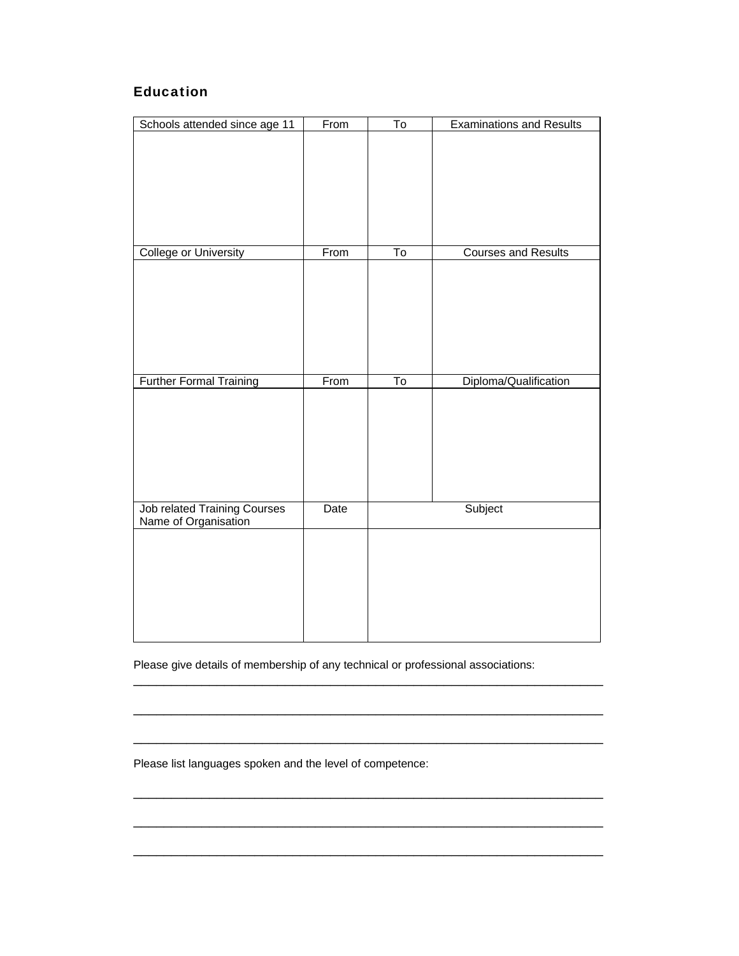# Education

| Schools attended since age 11  | From | To                     | <b>Examinations and Results</b> |
|--------------------------------|------|------------------------|---------------------------------|
|                                |      |                        |                                 |
|                                |      |                        |                                 |
|                                |      |                        |                                 |
|                                |      |                        |                                 |
|                                |      |                        |                                 |
|                                |      |                        |                                 |
| <b>College or University</b>   | From | $\overline{\text{To}}$ | <b>Courses and Results</b>      |
|                                |      |                        |                                 |
|                                |      |                        |                                 |
|                                |      |                        |                                 |
|                                |      |                        |                                 |
|                                |      |                        |                                 |
|                                |      |                        |                                 |
| <b>Further Formal Training</b> | From | $\overline{\text{To}}$ | Diploma/Qualification           |
|                                |      |                        |                                 |
|                                |      |                        |                                 |
|                                |      |                        |                                 |
|                                |      |                        |                                 |
|                                |      |                        |                                 |
|                                |      |                        |                                 |
| Job related Training Courses   | Date |                        | Subject                         |
| Name of Organisation           |      |                        |                                 |
|                                |      |                        |                                 |
|                                |      |                        |                                 |
|                                |      |                        |                                 |
|                                |      |                        |                                 |
|                                |      |                        |                                 |
|                                |      |                        |                                 |

Please give details of membership of any technical or professional associations:

\_\_\_\_\_\_\_\_\_\_\_\_\_\_\_\_\_\_\_\_\_\_\_\_\_\_\_\_\_\_\_\_\_\_\_\_\_\_\_\_\_\_\_\_\_\_\_\_\_\_\_\_\_\_\_\_\_\_\_\_\_\_

\_\_\_\_\_\_\_\_\_\_\_\_\_\_\_\_\_\_\_\_\_\_\_\_\_\_\_\_\_\_\_\_\_\_\_\_\_\_\_\_\_\_\_\_\_\_\_\_\_\_\_\_\_\_\_\_\_\_\_\_\_\_

\_\_\_\_\_\_\_\_\_\_\_\_\_\_\_\_\_\_\_\_\_\_\_\_\_\_\_\_\_\_\_\_\_\_\_\_\_\_\_\_\_\_\_\_\_\_\_\_\_\_\_\_\_\_\_\_\_\_\_\_\_\_

\_\_\_\_\_\_\_\_\_\_\_\_\_\_\_\_\_\_\_\_\_\_\_\_\_\_\_\_\_\_\_\_\_\_\_\_\_\_\_\_\_\_\_\_\_\_\_\_\_\_\_\_\_\_\_\_\_\_\_\_\_\_

\_\_\_\_\_\_\_\_\_\_\_\_\_\_\_\_\_\_\_\_\_\_\_\_\_\_\_\_\_\_\_\_\_\_\_\_\_\_\_\_\_\_\_\_\_\_\_\_\_\_\_\_\_\_\_\_\_\_\_\_\_\_

\_\_\_\_\_\_\_\_\_\_\_\_\_\_\_\_\_\_\_\_\_\_\_\_\_\_\_\_\_\_\_\_\_\_\_\_\_\_\_\_\_\_\_\_\_\_\_\_\_\_\_\_\_\_\_\_\_\_\_\_\_\_

Please list languages spoken and the level of competence: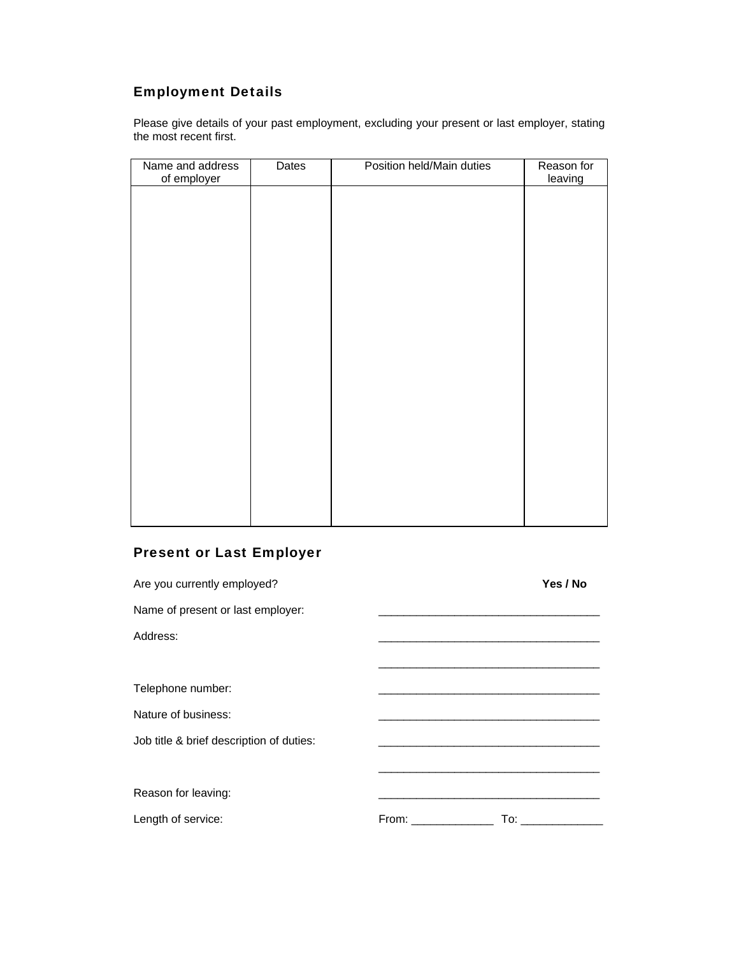# Employment Details

Please give details of your past employment, excluding your present or last employer, stating the most recent first.

| Name and address<br>of employer | Dates | Position held/Main duties | Reason for<br>leaving |
|---------------------------------|-------|---------------------------|-----------------------|
|                                 |       |                           |                       |
|                                 |       |                           |                       |
|                                 |       |                           |                       |
|                                 |       |                           |                       |
|                                 |       |                           |                       |
|                                 |       |                           |                       |
|                                 |       |                           |                       |
|                                 |       |                           |                       |
|                                 |       |                           |                       |
|                                 |       |                           |                       |
|                                 |       |                           |                       |
|                                 |       |                           |                       |
|                                 |       |                           |                       |

# Present or Last Employer

| Are you currently employed?              |                                                                                                                                                                                                                               | Yes / No                                                                                                                                                                                                                       |
|------------------------------------------|-------------------------------------------------------------------------------------------------------------------------------------------------------------------------------------------------------------------------------|--------------------------------------------------------------------------------------------------------------------------------------------------------------------------------------------------------------------------------|
| Name of present or last employer:        |                                                                                                                                                                                                                               |                                                                                                                                                                                                                                |
| Address:                                 |                                                                                                                                                                                                                               |                                                                                                                                                                                                                                |
|                                          |                                                                                                                                                                                                                               |                                                                                                                                                                                                                                |
| Telephone number:                        |                                                                                                                                                                                                                               |                                                                                                                                                                                                                                |
| Nature of business:                      | the control of the control of the control of the control of the control of the control of the control of the control of the control of the control of the control of the control of the control of the control of the control |                                                                                                                                                                                                                                |
| Job title & brief description of duties: |                                                                                                                                                                                                                               |                                                                                                                                                                                                                                |
|                                          |                                                                                                                                                                                                                               |                                                                                                                                                                                                                                |
| Reason for leaving:                      |                                                                                                                                                                                                                               |                                                                                                                                                                                                                                |
| Length of service:                       | From: <b>Example</b>                                                                                                                                                                                                          | To: the contract of the contract of the contract of the contract of the contract of the contract of the contract of the contract of the contract of the contract of the contract of the contract of the contract of the contra |